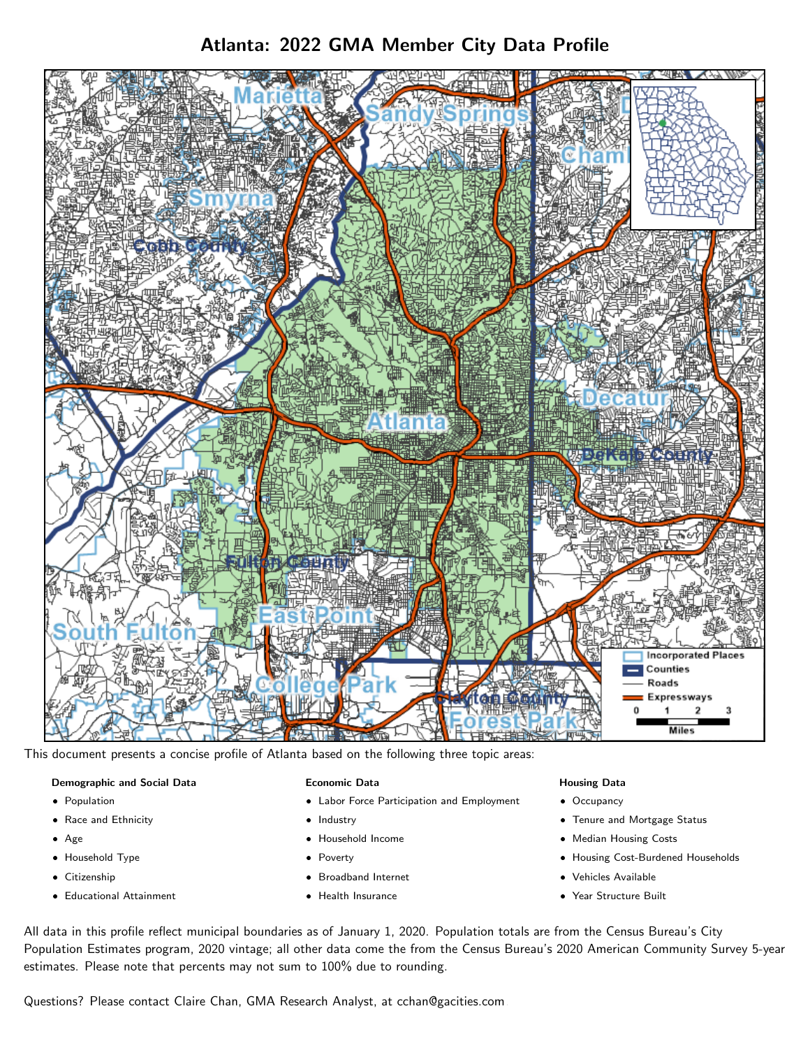# Atlanta: 2022 GMA Member City Data Profile



This document presents a concise profile of Atlanta based on the following three topic areas:

### Demographic and Social Data

- **•** Population
- Race and Ethnicity
- Age
- Household Type
- **Citizenship**
- Educational Attainment

### Economic Data

- Labor Force Participation and Employment
- Industry
- Household Income
- Poverty
- Broadband Internet
- Health Insurance

### Housing Data

- Occupancy
- Tenure and Mortgage Status
- Median Housing Costs
- Housing Cost-Burdened Households
- Vehicles Available
- Year Structure Built

All data in this profile reflect municipal boundaries as of January 1, 2020. Population totals are from the Census Bureau's City Population Estimates program, 2020 vintage; all other data come the from the Census Bureau's 2020 American Community Survey 5-year estimates. Please note that percents may not sum to 100% due to rounding.

Questions? Please contact Claire Chan, GMA Research Analyst, at [cchan@gacities.com.](mailto:cchan@gacities.com)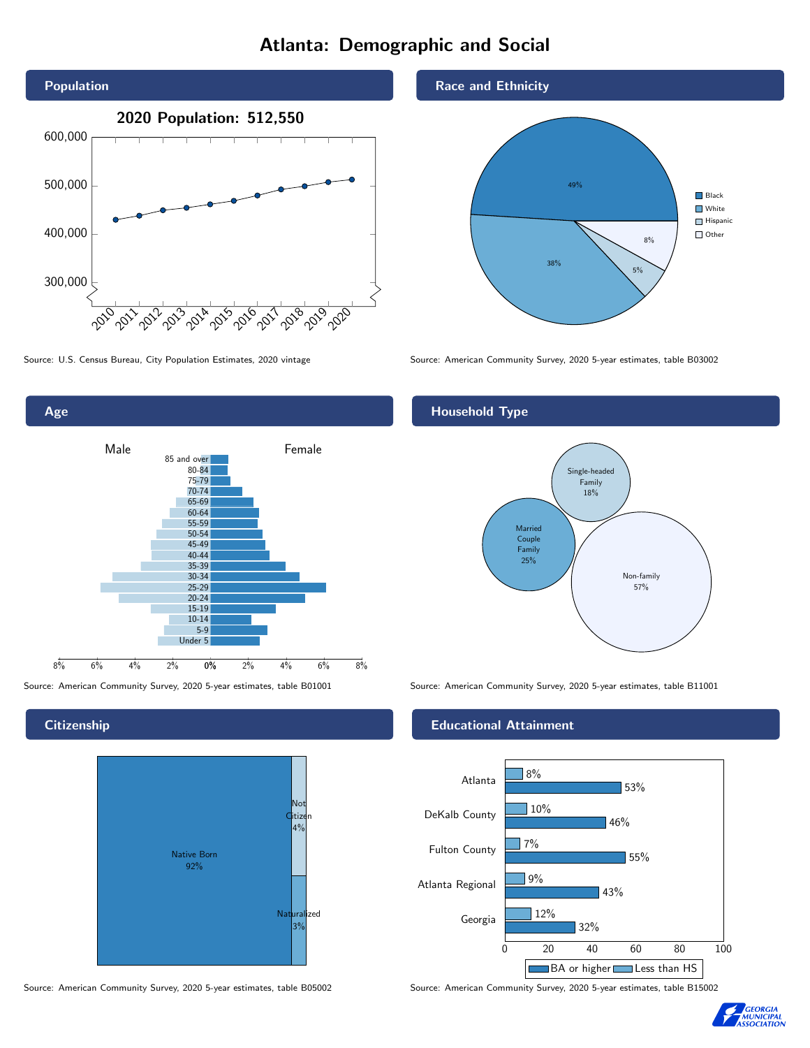# Atlanta: Demographic and Social







**Citizenship** 



Source: American Community Survey, 2020 5-year estimates, table B05002 Source: American Community Survey, 2020 5-year estimates, table B15002



## Household Type



Source: American Community Survey, 2020 5-year estimates, table B01001 Source: American Community Survey, 2020 5-year estimates, table B11001

### Educational Attainment



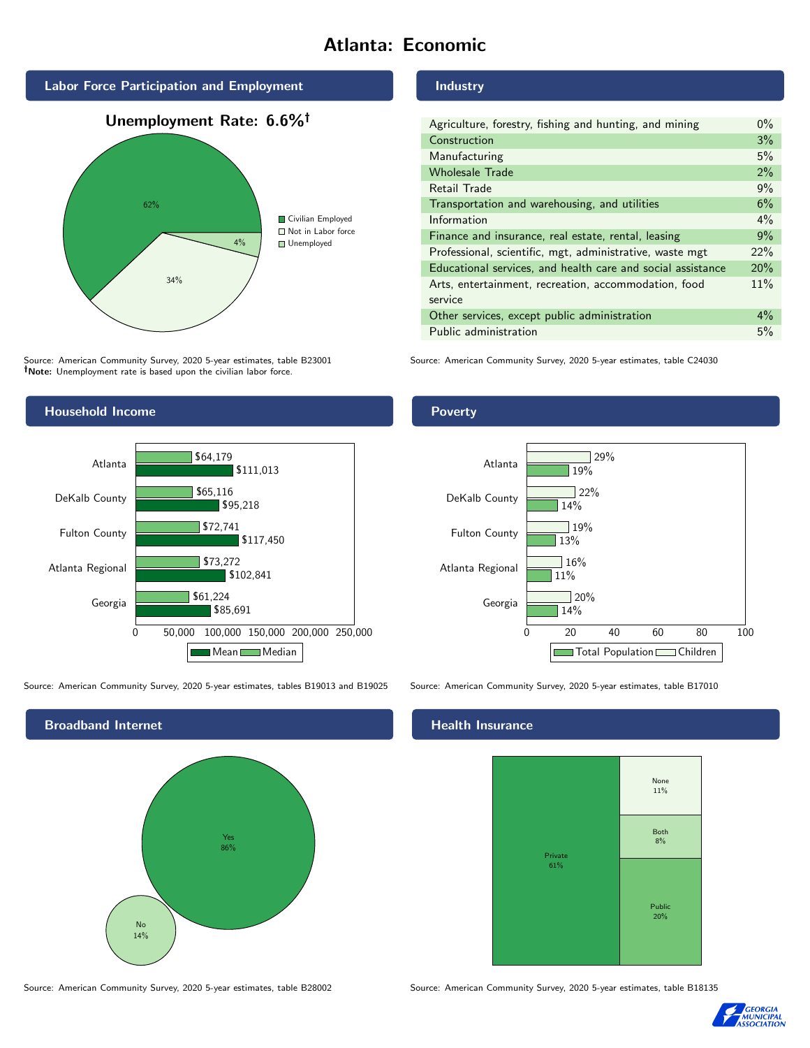# Atlanta: Economic



Source: American Community Survey, 2020 5-year estimates, table B23001

34%

Note: Unemployment rate is based upon the civilian labor force.

# Industry

| Agriculture, forestry, fishing and hunting, and mining      | $0\%$ |
|-------------------------------------------------------------|-------|
| Construction                                                | 3%    |
| Manufacturing                                               | 5%    |
| <b>Wholesale Trade</b>                                      | 2%    |
| Retail Trade                                                | 9%    |
| Transportation and warehousing, and utilities               | 6%    |
| Information                                                 | $4\%$ |
| Finance and insurance, real estate, rental, leasing         | 9%    |
| Professional, scientific, mgt, administrative, waste mgt    | 22%   |
| Educational services, and health care and social assistance | 20%   |
| Arts, entertainment, recreation, accommodation, food        | 11%   |
| service                                                     |       |
| Other services, except public administration                | $4\%$ |
| Public administration                                       | 5%    |

Source: American Community Survey, 2020 5-year estimates, table C24030



Source: American Community Survey, 2020 5-year estimates, tables B19013 and B19025 Source: American Community Survey, 2020 5-year estimates, table B17010

Broadband Internet No 14% Yes 86%

Source: American Community Survey, 2020 5-year estimates, table B28002 Source: American Community Survey, 2020 5-year estimates, table B18135

### Health Insurance